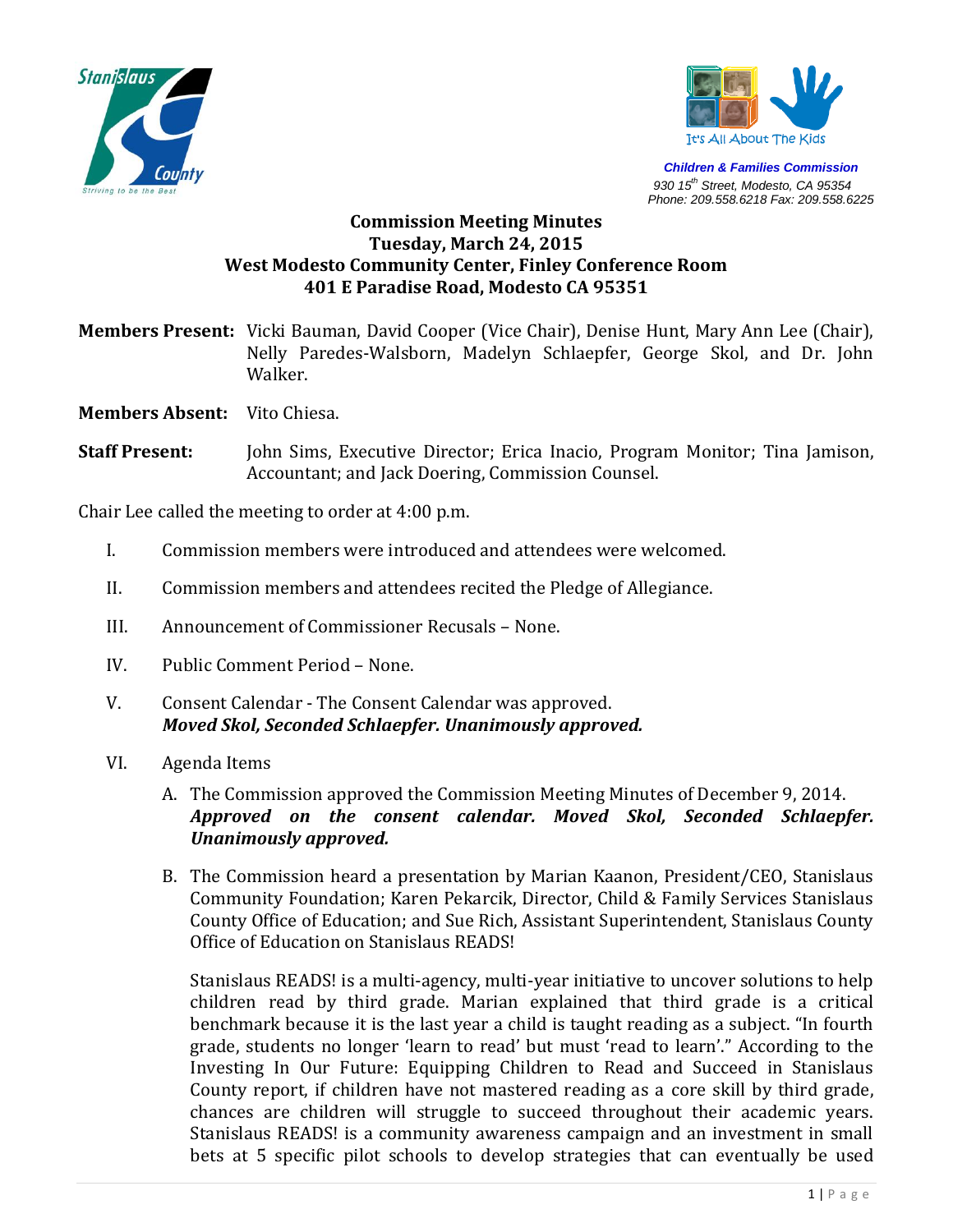



*Children & Families Commission 930 15th Street, Modesto, CA 95354 Phone: 209.558.6218 Fax: 209.558.6225*

## **Commission Meeting Minutes Tuesday, March 24, 2015 West Modesto Community Center, Finley Conference Room 401 E Paradise Road, Modesto CA 95351**

**Members Present:** Vicki Bauman, David Cooper (Vice Chair), Denise Hunt, Mary Ann Lee (Chair), Nelly Paredes-Walsborn, Madelyn Schlaepfer, George Skol, and Dr. John Walker.

**Members Absent:** Vito Chiesa.

**Staff Present:** John Sims, Executive Director; Erica Inacio, Program Monitor; Tina Jamison, Accountant; and Jack Doering, Commission Counsel.

Chair Lee called the meeting to order at 4:00 p.m.

- I. Commission members were introduced and attendees were welcomed.
- II. Commission members and attendees recited the Pledge of Allegiance.
- III. Announcement of Commissioner Recusals None.
- IV. Public Comment Period None.
- V. Consent Calendar The Consent Calendar was approved. *Moved Skol, Seconded Schlaepfer. Unanimously approved.*
- VI. Agenda Items
	- A. The Commission approved the Commission Meeting Minutes of December 9, 2014. *Approved on the consent calendar. Moved Skol, Seconded Schlaepfer. Unanimously approved.*
	- B. The Commission heard a presentation by Marian Kaanon, President/CEO, Stanislaus Community Foundation; Karen Pekarcik, Director, Child & Family Services Stanislaus County Office of Education; and Sue Rich, Assistant Superintendent, Stanislaus County Office of Education on Stanislaus READS!

Stanislaus READS! is a multi-agency, multi-year initiative to uncover solutions to help children read by third grade. Marian explained that third grade is a critical benchmark because it is the last year a child is taught reading as a subject. "In fourth grade, students no longer 'learn to read' but must 'read to learn'." According to the Investing In Our Future: Equipping Children to Read and Succeed in Stanislaus County report, if children have not mastered reading as a core skill by third grade, chances are children will struggle to succeed throughout their academic years. Stanislaus READS! is a community awareness campaign and an investment in small bets at 5 specific pilot schools to develop strategies that can eventually be used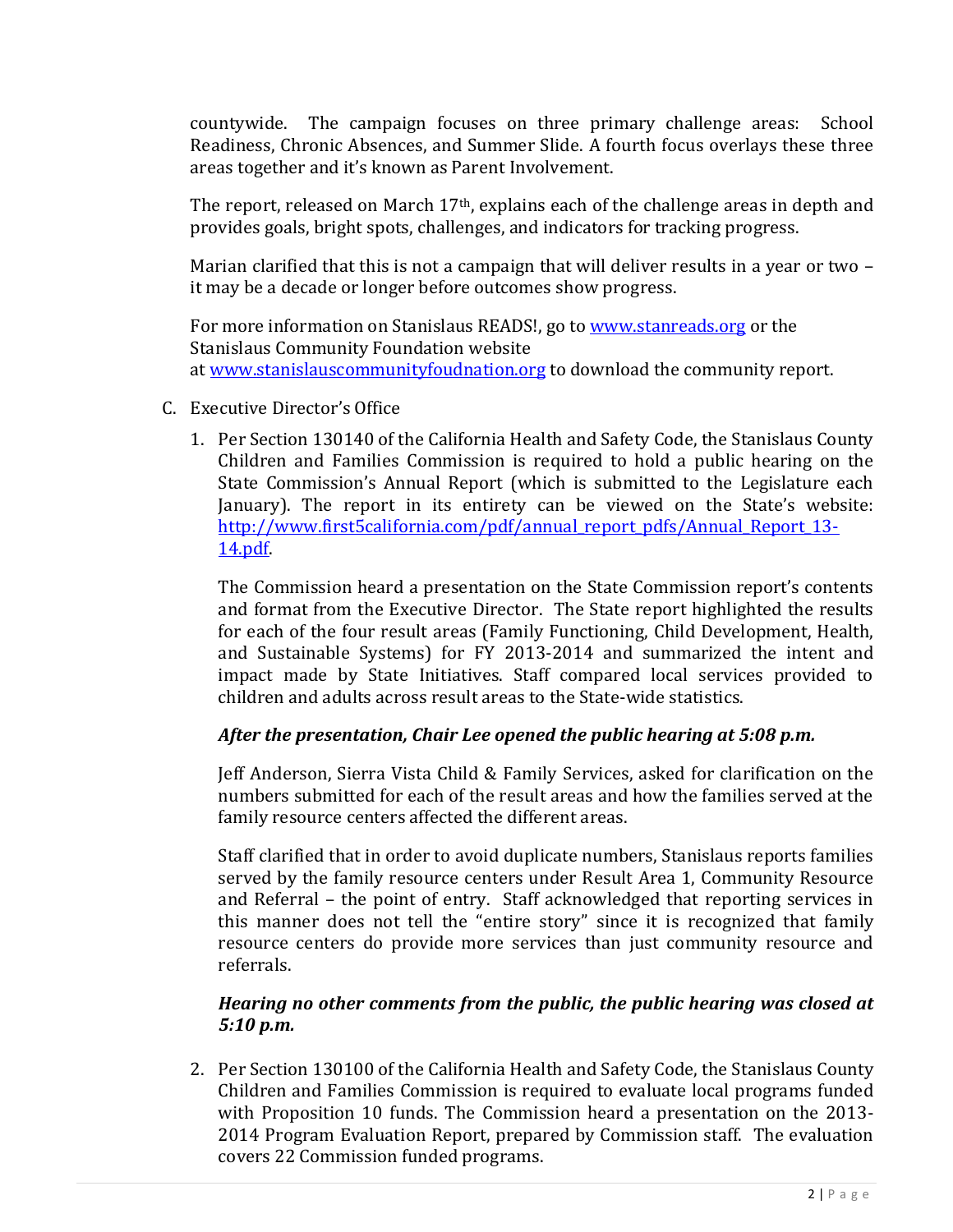countywide. The campaign focuses on three primary challenge areas: School Readiness, Chronic Absences, and Summer Slide. A fourth focus overlays these three areas together and it's known as Parent Involvement.

The report, released on March 17<sup>th</sup>, explains each of the challenge areas in depth and provides goals, bright spots, challenges, and indicators for tracking progress.

Marian clarified that this is not a campaign that will deliver results in a year or two – it may be a decade or longer before outcomes show progress.

For more information on Stanislaus READS!, go to [www.stanreads.org](http://www.stanreads.org/) or the Stanislaus Community Foundation website at [www.stanislauscommunityfoudnation.org](http://www.stanislauscommunityfoudnation.org/) to download the community report.

- C. Executive Director's Office
	- 1. Per Section 130140 of the California Health and Safety Code, the Stanislaus County Children and Families Commission is required to hold a public hearing on the State Commission's Annual Report (which is submitted to the Legislature each January). The report in its entirety can be viewed on the State's website: [http://www.first5california.com/pdf/annual\\_report\\_pdfs/Annual\\_Report\\_13-](http://www.first5california.com/pdf/annual_report_pdfs/Annual_Report_13-14.pdf) [14.pdf.](http://www.first5california.com/pdf/annual_report_pdfs/Annual_Report_13-14.pdf)

The Commission heard a presentation on the State Commission report's contents and format from the Executive Director. The State report highlighted the results for each of the four result areas (Family Functioning, Child Development, Health, and Sustainable Systems) for FY 2013-2014 and summarized the intent and impact made by State Initiatives. Staff compared local services provided to children and adults across result areas to the State-wide statistics.

# *After the presentation, Chair Lee opened the public hearing at 5:08 p.m.*

Jeff Anderson, Sierra Vista Child & Family Services, asked for clarification on the numbers submitted for each of the result areas and how the families served at the family resource centers affected the different areas.

Staff clarified that in order to avoid duplicate numbers, Stanislaus reports families served by the family resource centers under Result Area 1, Community Resource and Referral – the point of entry. Staff acknowledged that reporting services in this manner does not tell the "entire story" since it is recognized that family resource centers do provide more services than just community resource and referrals.

# *Hearing no other comments from the public, the public hearing was closed at 5:10 p.m.*

2. Per Section 130100 of the California Health and Safety Code, the Stanislaus County Children and Families Commission is required to evaluate local programs funded with Proposition 10 funds. The Commission heard a presentation on the 2013- 2014 Program Evaluation Report, prepared by Commission staff. The evaluation covers 22 Commission funded programs.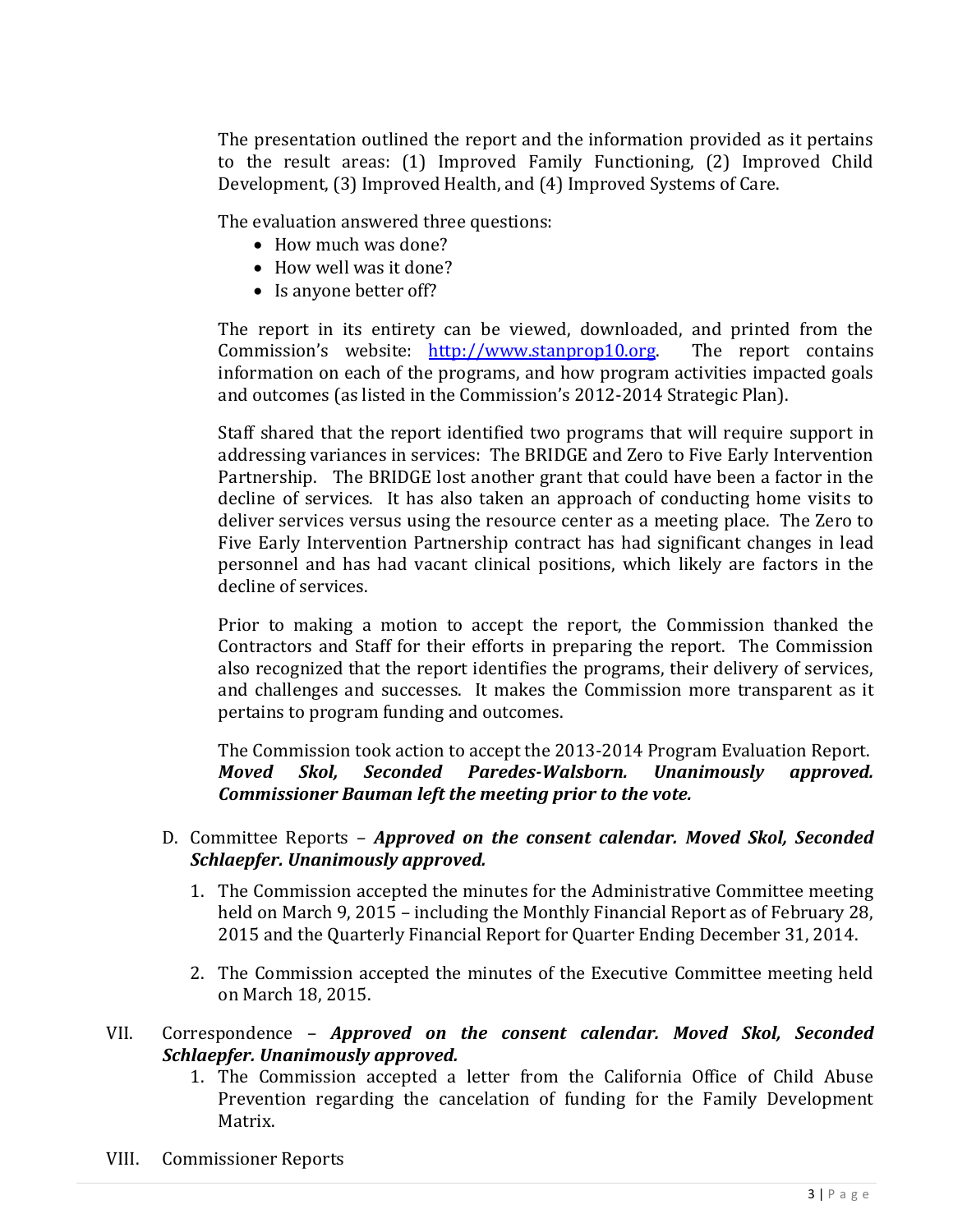The presentation outlined the report and the information provided as it pertains to the result areas: (1) Improved Family Functioning, (2) Improved Child Development, (3) Improved Health, and (4) Improved Systems of Care.

The evaluation answered three questions:

- How much was done?
- How well was it done?
- Is anyone better off?

The report in its entirety can be viewed, downloaded, and printed from the Commission's website: [http://www.stanprop10.org.](http://www.stanprop10.org/) The report contains information on each of the programs, and how program activities impacted goals and outcomes (as listed in the Commission's 2012-2014 Strategic Plan).

Staff shared that the report identified two programs that will require support in addressing variances in services: The BRIDGE and Zero to Five Early Intervention Partnership. The BRIDGE lost another grant that could have been a factor in the decline of services. It has also taken an approach of conducting home visits to deliver services versus using the resource center as a meeting place. The Zero to Five Early Intervention Partnership contract has had significant changes in lead personnel and has had vacant clinical positions, which likely are factors in the decline of services.

Prior to making a motion to accept the report, the Commission thanked the Contractors and Staff for their efforts in preparing the report. The Commission also recognized that the report identifies the programs, their delivery of services, and challenges and successes. It makes the Commission more transparent as it pertains to program funding and outcomes.

The Commission took action to accept the 2013-2014 Program Evaluation Report. *Moved Skol, Seconded Paredes-Walsborn. Unanimously approved. Commissioner Bauman left the meeting prior to the vote.*

#### D. Committee Reports – *Approved on the consent calendar. Moved Skol, Seconded Schlaepfer. Unanimously approved.*

- 1. The Commission accepted the minutes for the Administrative Committee meeting held on March 9, 2015 – including the Monthly Financial Report as of February 28, 2015 and the Quarterly Financial Report for Quarter Ending December 31, 2014.
- 2. The Commission accepted the minutes of the Executive Committee meeting held on March 18, 2015.

## VII. Correspondence – *Approved on the consent calendar. Moved Skol, Seconded Schlaepfer. Unanimously approved.*

- 1. The Commission accepted a letter from the California Office of Child Abuse Prevention regarding the cancelation of funding for the Family Development Matrix.
- VIII. Commissioner Reports